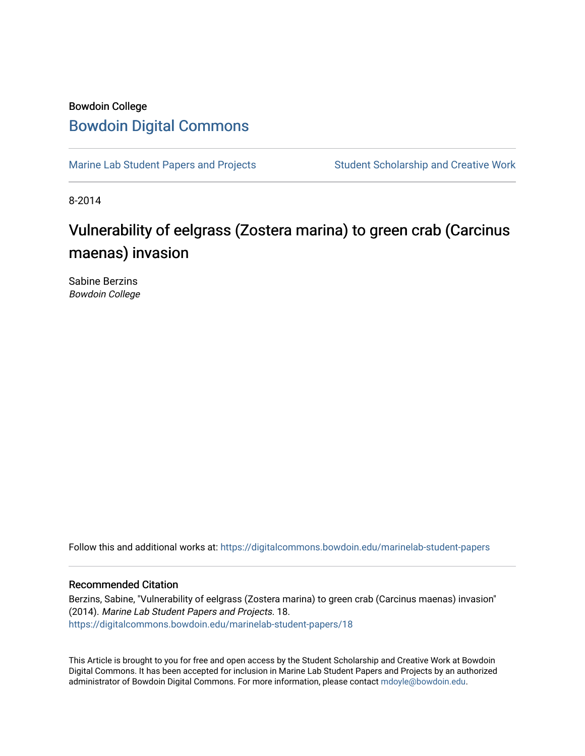## Bowdoin College [Bowdoin Digital Commons](https://digitalcommons.bowdoin.edu/)

[Marine Lab Student Papers and Projects](https://digitalcommons.bowdoin.edu/marinelab-student-papers) Student Scholarship and Creative Work

8-2014

## Vulnerability of eelgrass (Zostera marina) to green crab (Carcinus maenas) invasion

Sabine Berzins Bowdoin College

Follow this and additional works at: [https://digitalcommons.bowdoin.edu/marinelab-student-papers](https://digitalcommons.bowdoin.edu/marinelab-student-papers?utm_source=digitalcommons.bowdoin.edu%2Fmarinelab-student-papers%2F18&utm_medium=PDF&utm_campaign=PDFCoverPages) 

## Recommended Citation

Berzins, Sabine, "Vulnerability of eelgrass (Zostera marina) to green crab (Carcinus maenas) invasion" (2014). Marine Lab Student Papers and Projects. 18. [https://digitalcommons.bowdoin.edu/marinelab-student-papers/18](https://digitalcommons.bowdoin.edu/marinelab-student-papers/18?utm_source=digitalcommons.bowdoin.edu%2Fmarinelab-student-papers%2F18&utm_medium=PDF&utm_campaign=PDFCoverPages) 

This Article is brought to you for free and open access by the Student Scholarship and Creative Work at Bowdoin Digital Commons. It has been accepted for inclusion in Marine Lab Student Papers and Projects by an authorized administrator of Bowdoin Digital Commons. For more information, please contact [mdoyle@bowdoin.edu.](mailto:mdoyle@bowdoin.edu)